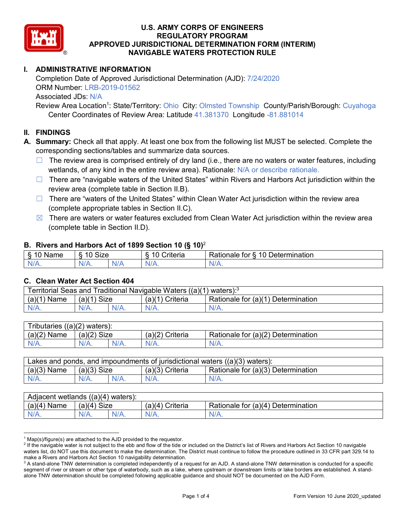

## **I. ADMINISTRATIVE INFORMATION**

Completion Date of Approved Jurisdictional Determination (AJD): 7/24/2020 ORM Number: LRB-2019-01562 Associated JDs: N/A

Review Area Location<sup>1</sup>: State/Territory: Ohio City: Olmsted Township County/Parish/Borough: Cuyahoga Center Coordinates of Review Area: Latitude 41.381370 Longitude -81.881014

#### **II. FINDINGS**

**A. Summary:** Check all that apply. At least one box from the following list MUST be selected. Complete the corresponding sections/tables and summarize data sources.

- $\Box$  The review area is comprised entirely of dry land (i.e., there are no waters or water features, including wetlands, of any kind in the entire review area). Rationale: N/A or describe rationale.
- ☐ There are "navigable waters of the United States" within Rivers and Harbors Act jurisdiction within the review area (complete table in Section II.B).
- $\Box$  There are "waters of the United States" within Clean Water Act jurisdiction within the review area (complete appropriate tables in Section II.C).
- $\boxtimes$  There are waters or water features excluded from Clean Water Act jurisdiction within the review area (complete table in Section II.D).

#### **B. Rivers and Harbors Act of 1899 Section 10 (§ 10)**<sup>2</sup>

| $\cdot$  |                                           |     |                     |                                         |  |  |  |
|----------|-------------------------------------------|-----|---------------------|-----------------------------------------|--|--|--|
| Name<br> | Size<br>$\overline{10}$<br>$\circ$<br>1 U |     | .<br>10<br>Criteria | 10<br>Determination<br>≺atıonale<br>tor |  |  |  |
| $N/A$ .  | NI/4<br>17.                               | ND. |                     | N/L                                     |  |  |  |

#### **C. Clean Water Act Section 404**

| <b>Territorial Seas and</b><br>Traditional Navigable Waters ((a)(1)<br>waters): <sup>3</sup> |                |         |                    |                                    |  |  |
|----------------------------------------------------------------------------------------------|----------------|---------|--------------------|------------------------------------|--|--|
| (a)(1)<br>Name                                                                               | Size<br>(a)(1) |         | Criteria<br>(a)(1) | Rationale for (a)(1) Determination |  |  |
|                                                                                              | $N/A$ .        | $N/A$ . | $N/A$ .            | $N/A$ .                            |  |  |

| Tributaries $((a)(2)$ waters): |               |         |                 |                                    |  |  |
|--------------------------------|---------------|---------|-----------------|------------------------------------|--|--|
| $(a)(2)$ Name                  | $(a)(2)$ Size |         | (a)(2) Criteria | Rationale for (a)(2) Determination |  |  |
| $N/A$ .                        | $N/A$ .       | $N/A$ . | $N/A$ .         | $N/A$ .                            |  |  |

| Lakes and ponds, and impoundments of jurisdictional waters $((a)(3)$ waters): |               |  |                   |                                    |  |
|-------------------------------------------------------------------------------|---------------|--|-------------------|------------------------------------|--|
| $(a)(3)$ Name                                                                 | $(a)(3)$ Size |  | $(a)(3)$ Criteria | Rationale for (a)(3) Determination |  |
| $N/A$ .                                                                       | $N/A$ .       |  | $N/A$ .           | $N/A$ .                            |  |

| Adjacent wetlands $((a)(4)$ waters): |                |         |                    |                                           |  |  |
|--------------------------------------|----------------|---------|--------------------|-------------------------------------------|--|--|
| (a)(4)<br>∖ Name                     | (a)(4)<br>Size |         | Criteria<br>(a)(4) | Rationale for $(a)(4)$ D<br>Determination |  |  |
| N/A.                                 | N/A.           | $N/A$ . |                    | $N/A$ .                                   |  |  |

 $1$  Map(s)/figure(s) are attached to the AJD provided to the requestor.

<sup>&</sup>lt;sup>2</sup> If the navigable water is not subject to the ebb and flow of the tide or included on the District's list of Rivers and Harbors Act Section 10 navigable waters list, do NOT use this document to make the determination. The District must continue to follow the procedure outlined in 33 CFR part 329.14 to make a Rivers and Harbors Act Section 10 navigability determination.

 $3$  A stand-alone TNW determination is completed independently of a request for an AJD. A stand-alone TNW determination is conducted for a specific segment of river or stream or other type of waterbody, such as a lake, where upstream or downstream limits or lake borders are established. A standalone TNW determination should be completed following applicable guidance and should NOT be documented on the AJD Form.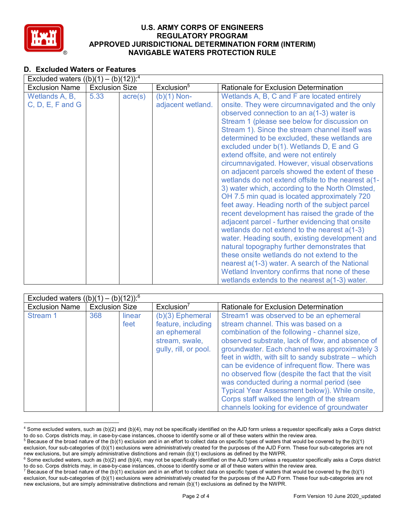

## **D. Excluded Waters or Features**

| Excluded waters $((b)(1) - (b)(12))$ : <sup>4</sup> |                       |                  |                                    |                                                                                                                                                                                                                                                                                                                                                                                                                                                                                                                                                                                                                                                                                                                                                                                                                                                                                                                                                                                                                                                                                                                                                              |  |  |
|-----------------------------------------------------|-----------------------|------------------|------------------------------------|--------------------------------------------------------------------------------------------------------------------------------------------------------------------------------------------------------------------------------------------------------------------------------------------------------------------------------------------------------------------------------------------------------------------------------------------------------------------------------------------------------------------------------------------------------------------------------------------------------------------------------------------------------------------------------------------------------------------------------------------------------------------------------------------------------------------------------------------------------------------------------------------------------------------------------------------------------------------------------------------------------------------------------------------------------------------------------------------------------------------------------------------------------------|--|--|
| <b>Exclusion Name</b>                               | <b>Exclusion Size</b> |                  | Exclusion <sup>5</sup>             | <b>Rationale for Exclusion Determination</b>                                                                                                                                                                                                                                                                                                                                                                                                                                                                                                                                                                                                                                                                                                                                                                                                                                                                                                                                                                                                                                                                                                                 |  |  |
| Wetlands A, B,<br>$C, D, E, F$ and $G$              | 5.33                  | $\text{acre}(s)$ | $(b)(1)$ Non-<br>adjacent wetland. | Wetlands A, B, C and F are located entirely<br>onsite. They were circumnavigated and the only<br>observed connection to an a(1-3) water is<br>Stream 1 (please see below for discussion on<br>Stream 1). Since the stream channel itself was<br>determined to be excluded, these wetlands are<br>excluded under b(1). Wetlands D, E and G<br>extend offsite, and were not entirely<br>circumnavigated. However, visual observations<br>on adjacent parcels showed the extent of these<br>wetlands do not extend offsite to the nearest a(1-<br>3) water which, according to the North Olmsted,<br>OH 7.5 min quad is located approximately 720<br>feet away. Heading north of the subject parcel<br>recent development has raised the grade of the<br>adjacent parcel - further evidencing that onsite<br>wetlands do not extend to the nearest a(1-3)<br>water. Heading south, existing development and<br>natural topography further demonstrates that<br>these onsite wetlands do not extend to the<br>nearest a(1-3) water. A search of the National<br>Wetland Inventory confirms that none of these<br>wetlands extends to the nearest $a(1-3)$ water. |  |  |

| (b)(12)): <sup>6</sup><br>Excluded waters $((b)(1) -$ |                       |                |                                                                                                     |                                                                                                                                                                                                                                                                                                                                                                                                                                                                                                                                                                                                |  |  |
|-------------------------------------------------------|-----------------------|----------------|-----------------------------------------------------------------------------------------------------|------------------------------------------------------------------------------------------------------------------------------------------------------------------------------------------------------------------------------------------------------------------------------------------------------------------------------------------------------------------------------------------------------------------------------------------------------------------------------------------------------------------------------------------------------------------------------------------------|--|--|
| <b>Exclusion Name</b>                                 | <b>Exclusion Size</b> |                | Exclusion <sup>7</sup>                                                                              | <b>Rationale for Exclusion Determination</b>                                                                                                                                                                                                                                                                                                                                                                                                                                                                                                                                                   |  |  |
| Stream 1                                              | 368                   | linear<br>feet | $(b)(3)$ Ephemeral<br>feature, including<br>an ephemeral<br>stream, swale,<br>gully, rill, or pool. | Stream1 was observed to be an ephemeral<br>stream channel. This was based on a<br>combination of the following - channel size,<br>observed substrate, lack of flow, and absence of<br>groundwater. Each channel was approximately 3<br>feet in width, with silt to sandy substrate – which<br>can be evidence of infrequent flow. There was<br>no observed flow (despite the fact that the visit<br>was conducted during a normal period (see<br>Typical Year Assessment below)). While onsite,<br>Corps staff walked the length of the stream<br>channels looking for evidence of groundwater |  |  |

 <sup>4</sup> Some excluded waters, such as (b)(2) and (b)(4), may not be specifically identified on the AJD form unless a requestor specifically asks a Corps district to do so. Corps districts may, in case-by-case instances, choose to identify some or all of these waters within the review area.

 $^5$  Because of the broad nature of the (b)(1) exclusion and in an effort to collect data on specific types of waters that would be covered by the (b)(1) exclusion, four sub-categories of (b)(1) exclusions were administratively created for the purposes of the AJD Form. These four sub-categories are not new exclusions, but are simply administrative distinctions and remain (b)(1) exclusions as defined by the NWPR.

 $6$  Some excluded waters, such as (b)(2) and (b)(4), may not be specifically identified on the AJD form unless a requestor specifically asks a Corps district to do so. Corps districts may, in case-by-case instances, choose to identify some or all of these waters within the review area.

<sup>&</sup>lt;sup>7</sup> Because of the broad nature of the (b)(1) exclusion and in an effort to collect data on specific types of waters that would be covered by the (b)(1) exclusion, four sub-categories of (b)(1) exclusions were administratively created for the purposes of the AJD Form. These four sub-categories are not new exclusions, but are simply administrative distinctions and remain (b)(1) exclusions as defined by the NWPR.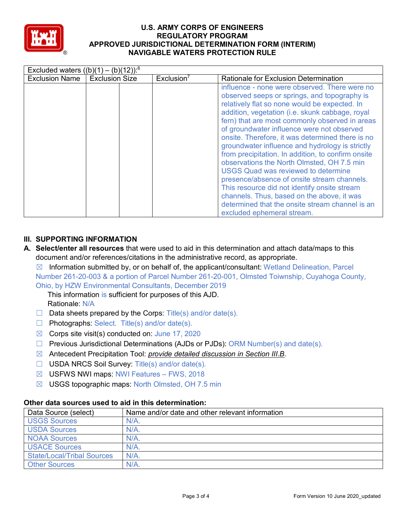

| Excluded waters $((b)(1) - (b)(12))$ : <sup>6</sup> |                       |                        |                                                                                                                                                                                                                                                                                                                                                                                                                                                                                                                                                                                                                                                                                                                                                                                          |  |  |
|-----------------------------------------------------|-----------------------|------------------------|------------------------------------------------------------------------------------------------------------------------------------------------------------------------------------------------------------------------------------------------------------------------------------------------------------------------------------------------------------------------------------------------------------------------------------------------------------------------------------------------------------------------------------------------------------------------------------------------------------------------------------------------------------------------------------------------------------------------------------------------------------------------------------------|--|--|
| <b>Exclusion Name</b>                               | <b>Exclusion Size</b> | Exclusion <sup>7</sup> | Rationale for Exclusion Determination                                                                                                                                                                                                                                                                                                                                                                                                                                                                                                                                                                                                                                                                                                                                                    |  |  |
|                                                     |                       |                        | influence - none were observed. There were no<br>observed seeps or springs, and topography is<br>relatively flat so none would be expected. In<br>addition, vegetation (i.e. skunk cabbage, royal<br>fern) that are most commonly observed in areas<br>of groundwater influence were not observed<br>onsite. Therefore, it was determined there is no<br>groundwater influence and hydrology is strictly<br>from precipitation. In addition, to confirm onsite<br>observations the North Olmsted, OH 7.5 min<br><b>USGS Quad was reviewed to determine</b><br>presence/absence of onsite stream channels.<br>This resource did not identify onsite stream<br>channels. Thus, based on the above, it was<br>determined that the onsite stream channel is an<br>excluded ephemeral stream. |  |  |

## **III. SUPPORTING INFORMATION**

**A. Select/enter all resources** that were used to aid in this determination and attach data/maps to this document and/or references/citations in the administrative record, as appropriate.

 $\boxtimes$  Information submitted by, or on behalf of, the applicant/consultant: Wetland Delineation, Parcel Number 261-20-003 & a portion of Parcel Number 261-20-001, Olmsted Toiwnship, Cuyahoga County, Ohio, by HZW Environmental Consultants, December 2019

This information is sufficient for purposes of this AJD. Rationale: N/A

- $\Box$  Data sheets prepared by the Corps: Title(s) and/or date(s).
- ☐ Photographs: Select. Title(s) and/or date(s).
- $\boxtimes$  Corps site visit(s) conducted on: June 17, 2020
- $\Box$  Previous Jurisdictional Determinations (AJDs or PJDs): ORM Number(s) and date(s).
- ☒ Antecedent Precipitation Tool: *provide detailed discussion in Section III.B*.
- ☐ USDA NRCS Soil Survey: Title(s) and/or date(s).
- ☒ USFWS NWI maps: NWI Features FWS, 2018
- ☒ USGS topographic maps: North Olmsted, OH 7.5 min

# **Other data sources used to aid in this determination:**

| Data Source (select)              | Name and/or date and other relevant information |
|-----------------------------------|-------------------------------------------------|
| <b>USGS Sources</b>               | $N/A$ .                                         |
| <b>USDA Sources</b>               | $N/A$ .                                         |
| <b>NOAA Sources</b>               | $N/A$ .                                         |
| <b>USACE Sources</b>              | $N/A$ .                                         |
| <b>State/Local/Tribal Sources</b> | N/A                                             |
| <b>Other Sources</b>              | $N/A$ .                                         |